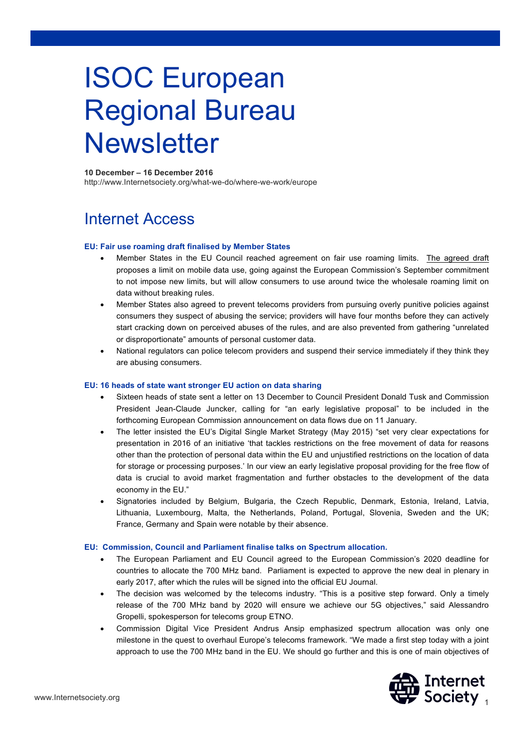# ISOC European Regional Bureau **Newsletter**

# **10 December – 16 December 2016**

http://www.Internetsociety.org/what-we-do/where-we-work/europe

# Internet Access

# **EU: Fair use roaming draft finalised by Member States**

- Member States in the EU Council reached agreement on fair use roaming limits. The agreed draft proposes a limit on mobile data use, going against the European Commission's September commitment to not impose new limits, but will allow consumers to use around twice the wholesale roaming limit on data without breaking rules.
- Member States also agreed to prevent telecoms providers from pursuing overly punitive policies against consumers they suspect of abusing the service; providers will have four months before they can actively start cracking down on perceived abuses of the rules, and are also prevented from gathering "unrelated or disproportionate" amounts of personal customer data.
- National regulators can police telecom providers and suspend their service immediately if they think they are abusing consumers.

#### **EU: 16 heads of state want stronger EU action on data sharing**

- Sixteen heads of state sent a letter on 13 December to Council President Donald Tusk and Commission President Jean-Claude Juncker, calling for "an early legislative proposal" to be included in the forthcoming European Commission announcement on data flows due on 11 January.
- The letter insisted the EU's Digital Single Market Strategy (May 2015) "set very clear expectations for presentation in 2016 of an initiative 'that tackles restrictions on the free movement of data for reasons other than the protection of personal data within the EU and unjustified restrictions on the location of data for storage or processing purposes.' In our view an early legislative proposal providing for the free flow of data is crucial to avoid market fragmentation and further obstacles to the development of the data economy in the EU."
- Signatories included by Belgium, Bulgaria, the Czech Republic, Denmark, Estonia, Ireland, Latvia, Lithuania, Luxembourg, Malta, the Netherlands, Poland, Portugal, Slovenia, Sweden and the UK; France, Germany and Spain were notable by their absence.

#### **EU: Commission, Council and Parliament finalise talks on Spectrum allocation.**

- The European Parliament and EU Council agreed to the European Commission's 2020 deadline for countries to allocate the 700 MHz band. Parliament is expected to approve the new deal in plenary in early 2017, after which the rules will be signed into the official EU Journal.
- The decision was welcomed by the telecoms industry. "This is a positive step forward. Only a timely release of the 700 MHz band by 2020 will ensure we achieve our 5G objectives," said Alessandro Gropelli, spokesperson for telecoms group ETNO.
- Commission Digital Vice President Andrus Ansip emphasized spectrum allocation was only one milestone in the quest to overhaul Europe's telecoms framework. "We made a first step today with a joint approach to use the 700 MHz band in the EU. We should go further and this is one of main objectives of

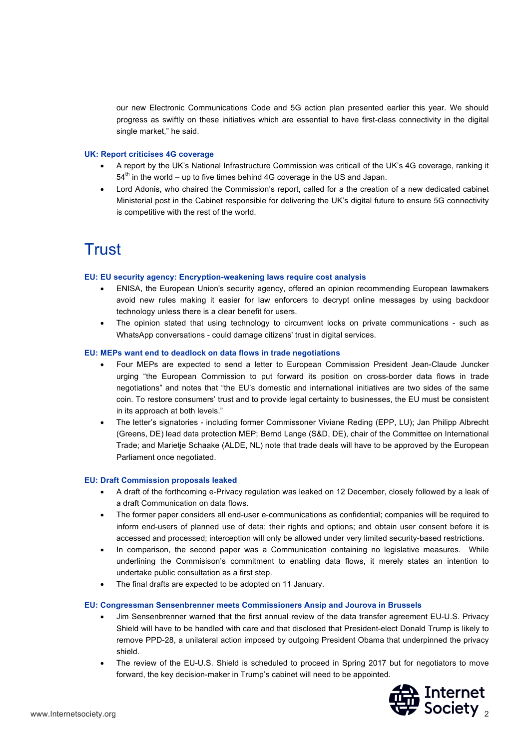our new Electronic Communications Code and 5G action plan presented earlier this year. We should progress as swiftly on these initiatives which are essential to have first-class connectivity in the digital single market," he said.

#### **UK: Report criticises 4G coverage**

- A report by the UK's National Infrastructure Commission was criticall of the UK's 4G coverage, ranking it  $54<sup>th</sup>$  in the world – up to five times behind 4G coverage in the US and Japan.
- Lord Adonis, who chaired the Commission's report, called for a the creation of a new dedicated cabinet Ministerial post in the Cabinet responsible for delivering the UK's digital future to ensure 5G connectivity is competitive with the rest of the world.

# **Trust**

# **EU: EU security agency: Encryption-weakening laws require cost analysis**

- ENISA, the European Union's security agency, offered an opinion recommending European lawmakers avoid new rules making it easier for law enforcers to decrypt online messages by using backdoor technology unless there is a clear benefit for users.
- The opinion stated that using technology to circumvent locks on private communications such as WhatsApp conversations - could damage citizens' trust in digital services.

# **EU: MEPs want end to deadlock on data flows in trade negotiations**

- Four MEPs are expected to send a letter to European Commission President Jean-Claude Juncker urging "the European Commission to put forward its position on cross-border data flows in trade negotiations" and notes that "the EU's domestic and international initiatives are two sides of the same coin. To restore consumers' trust and to provide legal certainty to businesses, the EU must be consistent in its approach at both levels."
- The letter's signatories including former Commissoner Viviane Reding (EPP, LU); Jan Philipp Albrecht (Greens, DE) lead data protection MEP; Bernd Lange (S&D, DE), chair of the Committee on International Trade; and Marietje Schaake (ALDE, NL) note that trade deals will have to be approved by the European Parliament once negotiated.

#### **EU: Draft Commission proposals leaked**

- A draft of the forthcoming e-Privacy regulation was leaked on 12 December, closely followed by a leak of a draft Communication on data flows.
- The former paper considers all end-user e-communications as confidential; companies will be required to inform end-users of planned use of data; their rights and options; and obtain user consent before it is accessed and processed; interception will only be allowed under very limited security-based restrictions.
- In comparison, the second paper was a Communication containing no legislative measures. While underlining the Commisison's commitment to enabling data flows, it merely states an intention to undertake public consultation as a first step.
- The final drafts are expected to be adopted on 11 January.

#### **EU: Congressman Sensenbrenner meets Commissioners Ansip and Jourova in Brussels**

- Jim Sensenbrenner warned that the first annual review of the data transfer agreement EU-U.S. Privacy Shield will have to be handled with care and that disclosed that President-elect Donald Trump is likely to remove PPD-28, a unilateral action imposed by outgoing President Obama that underpinned the privacy shield.
- The review of the EU-U.S. Shield is scheduled to proceed in Spring 2017 but for negotiators to move forward, the key decision-maker in Trump's cabinet will need to be appointed.

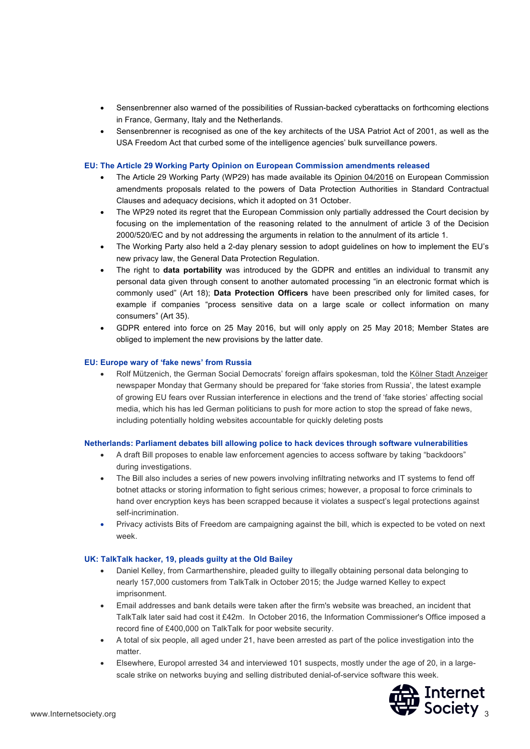- Sensenbrenner also warned of the possibilities of Russian-backed cyberattacks on forthcoming elections in France, Germany, Italy and the Netherlands.
- Sensenbrenner is recognised as one of the key architects of the USA Patriot Act of 2001, as well as the USA Freedom Act that curbed some of the intelligence agencies' bulk surveillance powers.

# **EU: The Article 29 Working Party Opinion on European Commission amendments released**

- The Article 29 Working Party (WP29) has made available its Opinion 04/2016 on European Commission amendments proposals related to the powers of Data Protection Authorities in Standard Contractual Clauses and adequacy decisions, which it adopted on 31 October.
- The WP29 noted its regret that the European Commission only partially addressed the Court decision by focusing on the implementation of the reasoning related to the annulment of article 3 of the Decision 2000/520/EC and by not addressing the arguments in relation to the annulment of its article 1.
- The Working Party also held a 2-day plenary session to adopt guidelines on how to implement the EU's new privacy law, the General Data Protection Regulation.
- The right to **data portability** was introduced by the GDPR and entitles an individual to transmit any personal data given through consent to another automated processing "in an electronic format which is commonly used" (Art 18); **Data Protection Officers** have been prescribed only for limited cases, for example if companies "process sensitive data on a large scale or collect information on many consumers" (Art 35).
- GDPR entered into force on 25 May 2016, but will only apply on 25 May 2018; Member States are obliged to implement the new provisions by the latter date.

# **EU: Europe wary of 'fake news' from Russia**

• Rolf Mützenich, the German Social Democrats' foreign affairs spokesman, told the Kölner Stadt Anzeiger newspaper Monday that Germany should be prepared for 'fake stories from Russia', the latest example of growing EU fears over Russian interference in elections and the trend of 'fake stories' affecting social media, which his has led German politicians to push for more action to stop the spread of fake news, including potentially holding websites accountable for quickly deleting posts

#### **Netherlands: Parliament debates bill allowing police to hack devices through software vulnerabilities**

- A draft Bill proposes to enable law enforcement agencies to access software by taking "backdoors" during investigations.
- The Bill also includes a series of new powers involving infiltrating networks and IT systems to fend off botnet attacks or storing information to fight serious crimes; however, a proposal to force criminals to hand over encryption keys has been scrapped because it violates a suspect's legal protections against self-incrimination.
- Privacy activists Bits of Freedom are campaigning against the bill, which is expected to be voted on next week.

#### **UK: TalkTalk hacker, 19, pleads guilty at the Old Bailey**

- Daniel Kelley, from Carmarthenshire, pleaded guilty to illegally obtaining personal data belonging to nearly 157,000 customers from TalkTalk in October 2015; the Judge warned Kelley to expect imprisonment.
- Email addresses and bank details were taken after the firm's website was breached, an incident that TalkTalk later said had cost it £42m. In October 2016, the Information Commissioner's Office imposed a record fine of £400,000 on TalkTalk for poor website security.
- A total of six people, all aged under 21, have been arrested as part of the police investigation into the matter.
- Elsewhere, Europol arrested 34 and interviewed 101 suspects, mostly under the age of 20, in a largescale strike on networks buying and selling distributed denial-of-service software this week.